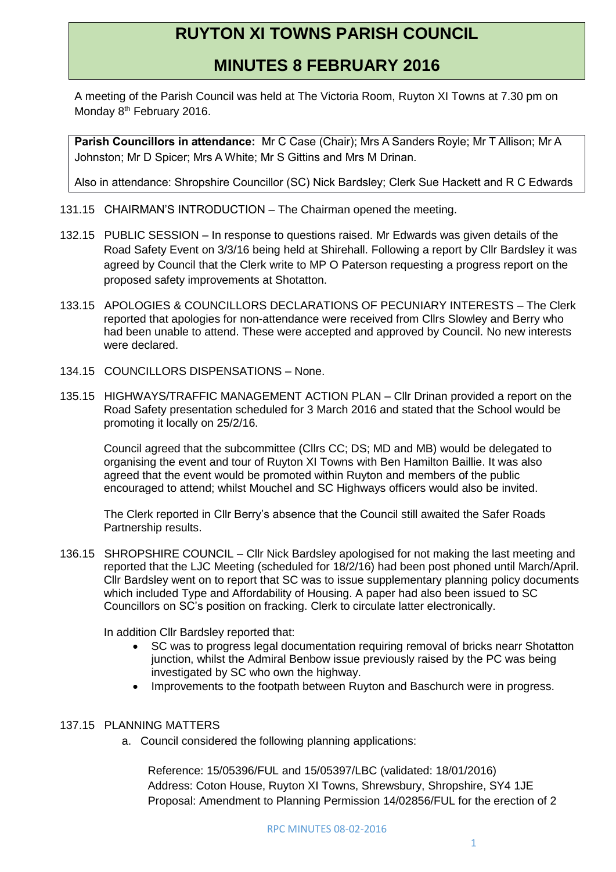## **RUYTON XI TOWNS PARISH COUNCIL**

## **MINUTES 8 FEBRUARY 2016**

A meeting of the Parish Council was held at The Victoria Room, Ruyton XI Towns at 7.30 pm on Monday 8<sup>th</sup> February 2016.

**Parish Councillors in attendance:** Mr C Case (Chair); Mrs A Sanders Royle; Mr T Allison; Mr A Johnston; Mr D Spicer; Mrs A White; Mr S Gittins and Mrs M Drinan.

Also in attendance: Shropshire Councillor (SC) Nick Bardsley; Clerk Sue Hackett and R C Edwards

- 131.15 CHAIRMAN'S INTRODUCTION The Chairman opened the meeting.
- 132.15 PUBLIC SESSION In response to questions raised. Mr Edwards was given details of the Road Safety Event on 3/3/16 being held at Shirehall. Following a report by Cllr Bardsley it was agreed by Council that the Clerk write to MP O Paterson requesting a progress report on the proposed safety improvements at Shotatton.
- 133.15 APOLOGIES & COUNCILLORS DECLARATIONS OF PECUNIARY INTERESTS The Clerk reported that apologies for non-attendance were received from Cllrs Slowley and Berry who had been unable to attend. These were accepted and approved by Council. No new interests were declared.
- 134.15 COUNCILLORS DISPENSATIONS None.
- 135.15 HIGHWAYS/TRAFFIC MANAGEMENT ACTION PLAN Cllr Drinan provided a report on the Road Safety presentation scheduled for 3 March 2016 and stated that the School would be promoting it locally on 25/2/16.

Council agreed that the subcommittee (Cllrs CC; DS; MD and MB) would be delegated to organising the event and tour of Ruyton XI Towns with Ben Hamilton Baillie. It was also agreed that the event would be promoted within Ruyton and members of the public encouraged to attend; whilst Mouchel and SC Highways officers would also be invited.

The Clerk reported in Cllr Berry's absence that the Council still awaited the Safer Roads Partnership results.

136.15 SHROPSHIRE COUNCIL – Cllr Nick Bardsley apologised for not making the last meeting and reported that the LJC Meeting (scheduled for 18/2/16) had been post phoned until March/April. Cllr Bardsley went on to report that SC was to issue supplementary planning policy documents which included Type and Affordability of Housing. A paper had also been issued to SC Councillors on SC's position on fracking. Clerk to circulate latter electronically.

In addition Cllr Bardsley reported that:

- SC was to progress legal documentation requiring removal of bricks nearr Shotatton junction, whilst the Admiral Benbow issue previously raised by the PC was being investigated by SC who own the highway.
- Improvements to the footpath between Ruyton and Baschurch were in progress.

## 137.15 PLANNING MATTERS

a. Council considered the following planning applications:

Reference: 15/05396/FUL and 15/05397/LBC (validated: 18/01/2016) Address: Coton House, Ruyton XI Towns, Shrewsbury, Shropshire, SY4 1JE Proposal: Amendment to Planning Permission 14/02856/FUL for the erection of 2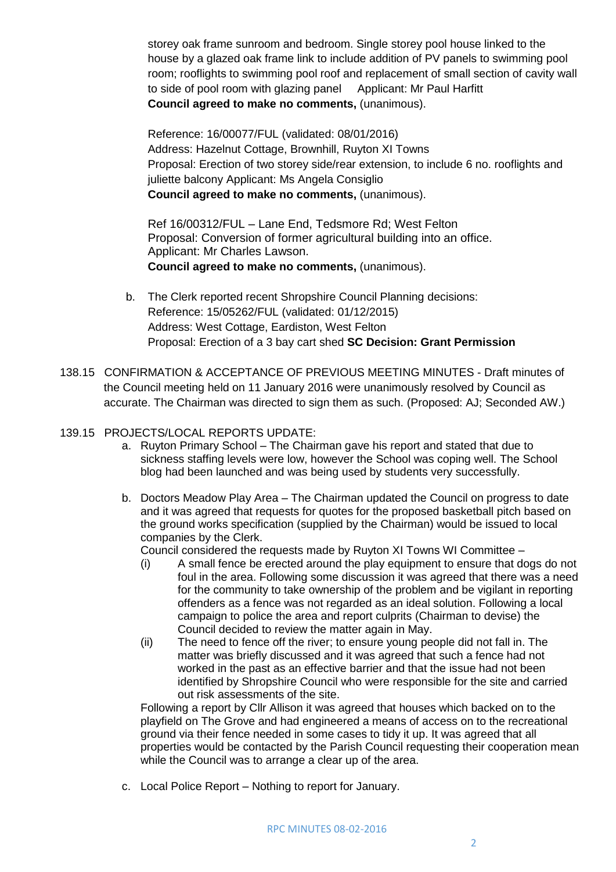storey oak frame sunroom and bedroom. Single storey pool house linked to the house by a glazed oak frame link to include addition of PV panels to swimming pool room; rooflights to swimming pool roof and replacement of small section of cavity wall to side of pool room with glazing panel Applicant: Mr Paul Harfitt **Council agreed to make no comments,** (unanimous).

Reference: 16/00077/FUL (validated: 08/01/2016) Address: Hazelnut Cottage, Brownhill, Ruyton XI Towns Proposal: Erection of two storey side/rear extension, to include 6 no. rooflights and juliette balcony Applicant: Ms Angela Consiglio **Council agreed to make no comments,** (unanimous).

Ref 16/00312/FUL – Lane End, Tedsmore Rd; West Felton Proposal: Conversion of former agricultural building into an office. Applicant: Mr Charles Lawson. **Council agreed to make no comments,** (unanimous).

- b. The Clerk reported recent Shropshire Council Planning decisions: Reference: 15/05262/FUL (validated: 01/12/2015) Address: West Cottage, Eardiston, West Felton Proposal: Erection of a 3 bay cart shed **SC Decision: Grant Permission**
- 138.15 CONFIRMATION & ACCEPTANCE OF PREVIOUS MEETING MINUTES Draft minutes of the Council meeting held on 11 January 2016 were unanimously resolved by Council as accurate. The Chairman was directed to sign them as such. (Proposed: AJ; Seconded AW.)

## 139.15 PROJECTS/LOCAL REPORTS UPDATE:

- a. Ruyton Primary School The Chairman gave his report and stated that due to sickness staffing levels were low, however the School was coping well. The School blog had been launched and was being used by students very successfully.
- b. Doctors Meadow Play Area The Chairman updated the Council on progress to date and it was agreed that requests for quotes for the proposed basketball pitch based on the ground works specification (supplied by the Chairman) would be issued to local companies by the Clerk.

Council considered the requests made by Ruyton XI Towns WI Committee –

- (i) A small fence be erected around the play equipment to ensure that dogs do not foul in the area. Following some discussion it was agreed that there was a need for the community to take ownership of the problem and be vigilant in reporting offenders as a fence was not regarded as an ideal solution. Following a local campaign to police the area and report culprits (Chairman to devise) the Council decided to review the matter again in May.
- (ii) The need to fence off the river; to ensure young people did not fall in. The matter was briefly discussed and it was agreed that such a fence had not worked in the past as an effective barrier and that the issue had not been identified by Shropshire Council who were responsible for the site and carried out risk assessments of the site.

Following a report by Cllr Allison it was agreed that houses which backed on to the playfield on The Grove and had engineered a means of access on to the recreational ground via their fence needed in some cases to tidy it up. It was agreed that all properties would be contacted by the Parish Council requesting their cooperation mean while the Council was to arrange a clear up of the area.

c. Local Police Report – Nothing to report for January.